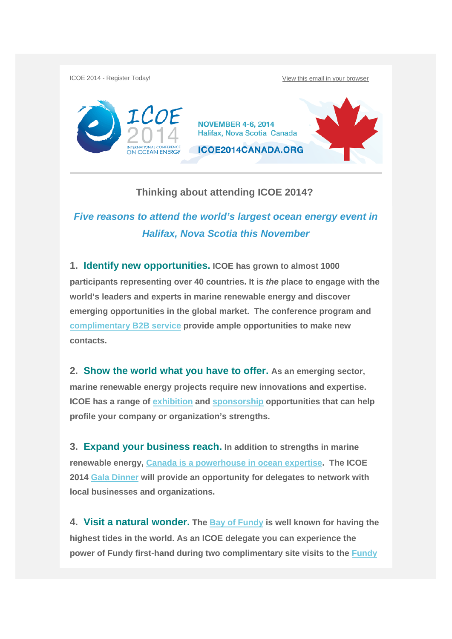ICOE 2014 - Register Today! View this email in your browser



## **Thinking about attending ICOE 2014?**

## *Five reasons to attend the world's largest ocean energy event in Halifax, Nova Scotia this November*

**1. Identify new opportunities. ICOE has grown to almost 1000 participants representing over 40 countries. It is** *the* **place to engage with the world's leaders and experts in marine renewable energy and discover emerging opportunities in the global market. The conference program and complimentary B2B service provide ample opportunities to make new contacts.** 

**2. Show the world what you have to offer. As an emerging sector, marine renewable energy projects require new innovations and expertise. ICOE has a range of exhibition and sponsorship opportunities that can help profile your company or organization's strengths.** 

**3. Expand your business reach. In addition to strengths in marine renewable energy, Canada is a powerhouse in ocean expertise. The ICOE 2014 Gala Dinner will provide an opportunity for delegates to network with local businesses and organizations.** 

**4. Visit a natural wonder. The Bay of Fundy is well known for having the highest tides in the world. As an ICOE delegate you can experience the power of Fundy first-hand during two complimentary site visits to the Fundy**